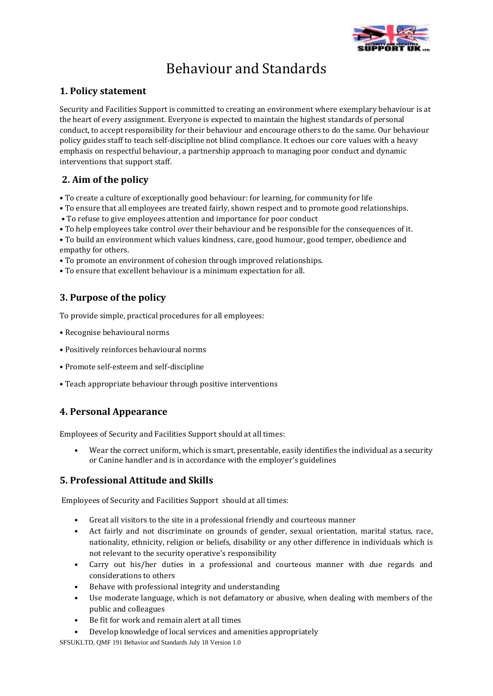

# Behaviour and Standards

#### **1. Policy statement**

Security and Facilities Support is committed to creating an environment where exemplary behaviour is at the heart of every assignment. Everyone is expected to maintain the highest standards of personal conduct, to accept responsibility for their behaviour and encourage others to do the same. Our behaviour policy guides staff to teach self-discipline not blind compliance. It echoes our core values with a heavy emphasis on respectful behaviour, a partnership approach to managing poor conduct and dynamic interventions that support staff.

## **2. Aim of the policy**

- To create a culture of exceptionally good behaviour: for learning, for community for life
- To ensure that all employees are treated fairly, shown respect and to promote good relationships.
- To refuse to give employees attention and importance for poor conduct
- To help employees take control over their behaviour and be responsible for the consequences of it.

• To build an environment which values kindness, care, good humour, good temper, obedience and empathy for others.

- To promote an environment of cohesion through improved relationships.
- To ensure that excellent behaviour is a minimum expectation for all.

## **3. Purpose of the policy**

To provide simple, practical procedures for all employees:

- Recognise behavioural norms
- Positively reinforces behavioural norms
- Promote self-esteem and self-discipline
- Teach appropriate behaviour through positive interventions

## **4. Personal Appearance**

Employees of Security and Facilities Support should at all times:

• Wear the correct uniform, which is smart, presentable, easily identifies the individual as a security or Canine handler and is in accordance with the employer's guidelines

## **5. Professional Attitude and Skills**

Employees of Security and Facilities Support should at all times:

- Great all visitors to the site in a professional friendly and courteous manner
- Act fairly and not discriminate on grounds of gender, sexual orientation, marital status, race, nationality, ethnicity, religion or beliefs, disability or any other difference in individuals which is not relevant to the security operative's responsibility
- Carry out his/her duties in a professional and courteous manner with due regards and considerations to others
- Behave with professional integrity and understanding
- Use moderate language, which is not defamatory or abusive, when dealing with members of the public and colleagues
- Be fit for work and remain alert at all times
- Develop knowledge of local services and amenities appropriately

SFSUKLTD, QMF 191 Behavior and Standards July 18 Version 1.0